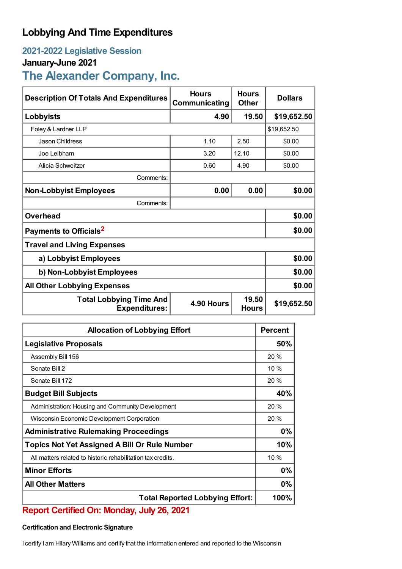# **Lobbying And Time Expenditures**

#### **2021-2022 Legislative Session**

#### **January-June 2021**

## **The Alexander Company, Inc.**

| <b>Description Of Totals And Expenditures</b>          | <b>Hours</b><br>Communicating | <b>Hours</b><br><b>Other</b> | <b>Dollars</b> |  |
|--------------------------------------------------------|-------------------------------|------------------------------|----------------|--|
| Lobbyists                                              | 4.90                          | 19.50                        | \$19,652.50    |  |
| Foley & Lardner LLP                                    |                               |                              | \$19,652.50    |  |
| Jason Childress                                        | 1.10                          | 2.50                         | \$0.00         |  |
| Joe Leibham                                            | 3.20                          | 12.10                        | \$0.00         |  |
| Alicia Schweitzer                                      | 0.60                          | 4.90                         | \$0.00         |  |
| Comments:                                              |                               |                              |                |  |
| <b>Non-Lobbyist Employees</b>                          | 0.00                          | 0.00                         | \$0.00         |  |
| Comments:                                              |                               |                              |                |  |
| <b>Overhead</b>                                        |                               |                              | \$0.00         |  |
| Payments to Officials <sup>2</sup>                     |                               |                              | \$0.00         |  |
| <b>Travel and Living Expenses</b>                      |                               |                              |                |  |
| a) Lobbyist Employees                                  |                               |                              | \$0.00         |  |
| b) Non-Lobbyist Employees                              | \$0.00                        |                              |                |  |
| <b>All Other Lobbying Expenses</b>                     |                               |                              | \$0.00         |  |
| <b>Total Lobbying Time And</b><br><b>Expenditures:</b> | 4.90 Hours                    | 19.50<br><b>Hours</b>        | \$19,652.50    |  |

| <b>Allocation of Lobbying Effort</b>                        |      |
|-------------------------------------------------------------|------|
| <b>Legislative Proposals</b>                                | 50%  |
| Assembly Bill 156                                           | 20 % |
| Senate Bill 2                                               | 10%  |
| Senate Bill 172                                             | 20 % |
| <b>Budget Bill Subjects</b>                                 | 40%  |
| Administration: Housing and Community Development           | 20 % |
| Wisconsin Economic Development Corporation                  | 20 % |
| <b>Administrative Rulemaking Proceedings</b>                |      |
| <b>Topics Not Yet Assigned A Bill Or Rule Number</b>        |      |
| All matters related to historic rehabilitation tax credits. | 10%  |
| <b>Minor Efforts</b>                                        |      |
| <b>All Other Matters</b>                                    |      |
| <b>Total Reported Lobbying Effort:</b>                      |      |

### **Report Certified On: Monday, July 26, 2021**

#### **Certification and Electronic Signature**

I certify I am Hilary Williams and certify that the information entered and reported to the Wisconsin